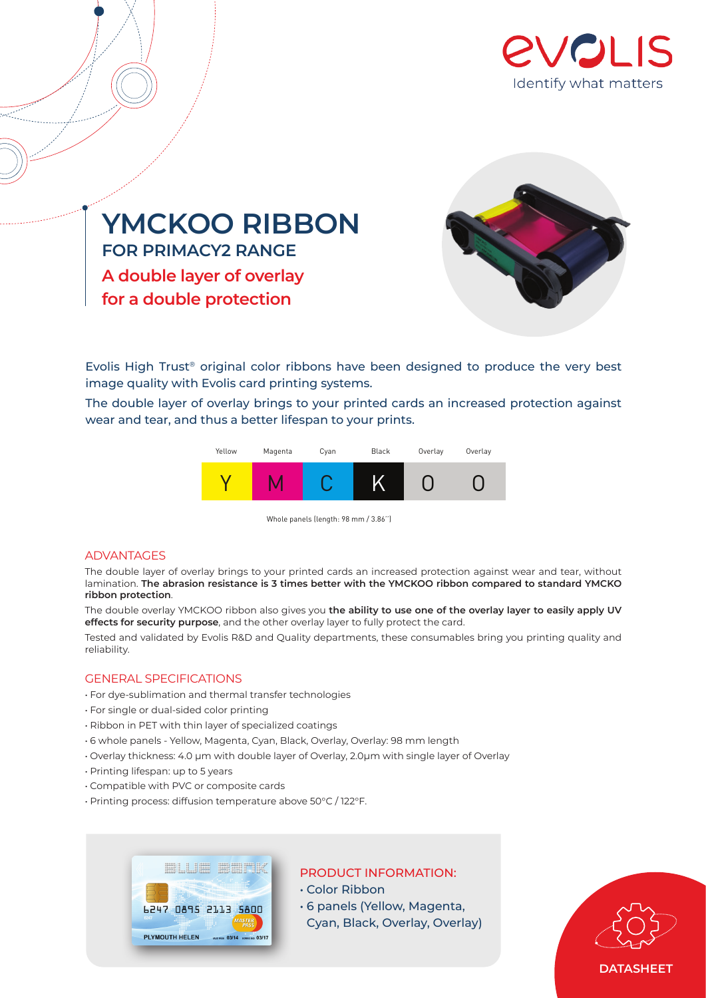



**for a double protection**



Evolis High Trust® original color ribbons have been designed to produce the very best image quality with Evolis card printing systems.

The double layer of overlay brings to your printed cards an increased protection against wear and tear, and thus a better lifespan to your prints.



Whole panels (length: 98 mm / 3.86'')

# ADVANTAGES

The double layer of overlay brings to your printed cards an increased protection against wear and tear, without lamination. **The abrasion resistance is 3 times better with the YMCKOO ribbon compared to standard YMCKO ribbon protection**.

The double overlay YMCKOO ribbon also gives you **the ability to use one of the overlay layer to easily apply UV effects for security purpose**, and the other overlay layer to fully protect the card.

Tested and validated by Evolis R&D and Quality departments, these consumables bring you printing quality and reliability.

# GENERAL SPECIFICATIONS

- For dye-sublimation and thermal transfer technologies
- For single or dual-sided color printing
- Ribbon in PET with thin layer of specialized coatings
- 6 whole panels Yellow, Magenta, Cyan, Black, Overlay, Overlay: 98 mm length
- Overlay thickness: 4.0 µm with double layer of Overlay, 2.0µm with single layer of Overlay
- Printing lifespan: up to 5 years
- Compatible with PVC or composite cards
- Printing process: diffusion temperature above 50°C / 122°F.



# PRODUCT INFORMATION:

• Color Ribbon

- 6 panels (Yellow, Magenta,
- Cyan, Black, Overlay, Overlay)